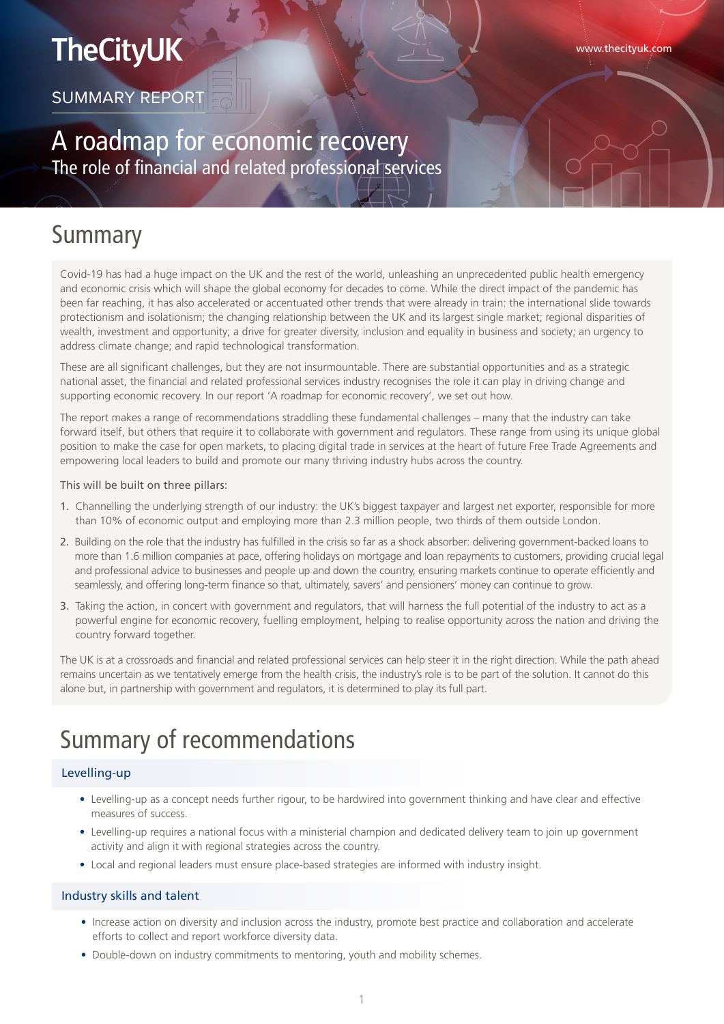# **TheCityUK**

SUMMARY REPORT

### A roadmap for economic recovery The role of financial and related professional services

### Summary

Covid-19 has had a huge impact on the UK and the rest of the world, unleashing an unprecedented public health emergency and economic crisis which will shape the global economy for decades to come. While the direct impact of the pandemic has been far reaching, it has also accelerated or accentuated other trends that were already in train: the international slide towards protectionism and isolationism; the changing relationship between the UK and its largest single market; regional disparities of wealth, investment and opportunity; a drive for greater diversity, inclusion and equality in business and society; an urgency to address climate change; and rapid technological transformation.

These are all significant challenges, but they are not insurmountable. There are substantial opportunities and as a strategic national asset, the financial and related professional services industry recognises the role it can play in driving change and supporting economic recovery. In our report 'A roadmap for economic recovery', we set out how.

The report makes a range of recommendations straddling these fundamental challenges – many that the industry can take forward itself, but others that require it to collaborate with government and regulators. These range from using its unique global position to make the case for open markets, to placing digital trade in services at the heart of future Free Trade Agreements and empowering local leaders to build and promote our many thriving industry hubs across the country.

This will be built on three pillars:

- 1. Channelling the underlying strength of our industry: the UK's biggest taxpayer and largest net exporter, responsible for more than 10% of economic output and employing more than 2.3 million people, two thirds of them outside London.
- 2. Building on the role that the industry has fulfilled in the crisis so far as a shock absorber: delivering government-backed loans to more than 1.6 million companies at pace, offering holidays on mortgage and loan repayments to customers, providing crucial legal and professional advice to businesses and people up and down the country, ensuring markets continue to operate efficiently and seamlessly, and offering long-term finance so that, ultimately, savers' and pensioners' money can continue to grow.
- 3. Taking the action, in concert with government and regulators, that will harness the full potential of the industry to act as a powerful engine for economic recovery, fuelling employment, helping to realise opportunity across the nation and driving the country forward together.

The UK is at a crossroads and financial and related professional services can help steer it in the right direction. While the path ahead remains uncertain as we tentatively emerge from the health crisis, the industry's role is to be part of the solution. It cannot do this alone but, in partnership with government and regulators, it is determined to play its full part.

## Summary of recommendations

#### Levelling-up

- Levelling-up as a concept needs further rigour, to be hardwired into government thinking and have clear and effective measures of success.
- Levelling-up requires a national focus with a ministerial champion and dedicated delivery team to join up government activity and align it with regional strategies across the country.
- Local and regional leaders must ensure place-based strategies are informed with industry insight.

#### Industry skills and talent

- Increase action on diversity and inclusion across the industry, promote best practice and collaboration and accelerate efforts to collect and report workforce diversity data.
- Double-down on industry commitments to mentoring, youth and mobility schemes.